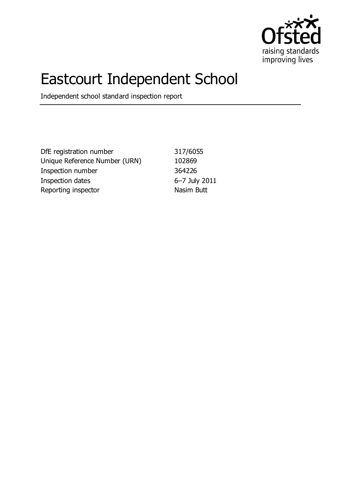

# Eastcourt Independent School

Independent school standard inspection report

DfE registration number 317/6055 Unique Reference Number (URN) 102869 Inspection number 364226 Inspection dates 6–7 July 2011 Reporting inspector Nasim Butt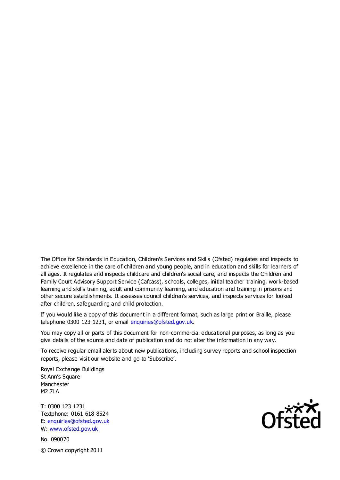The Office for Standards in Education, Children's Services and Skills (Ofsted) regulates and inspects to achieve excellence in the care of children and young people, and in education and skills for learners of all ages. It regulates and inspects childcare and children's social care, and inspects the Children and Family Court Advisory Support Service (Cafcass), schools, colleges, initial teacher training, work-based learning and skills training, adult and community learning, and education and training in prisons and other secure establishments. It assesses council children's services, and inspects services for looked after children, safeguarding and child protection.

If you would like a copy of this document in a different format, such as large print or Braille, please telephone 0300 123 1231, or email enquiries@ofsted.gov.uk.

You may copy all or parts of this document for non-commercial educational purposes, as long as you give details of the source and date of publication and do not alter the information in any way.

To receive regular email alerts about new publications, including survey reports and school inspection reports, please visit our website and go to 'Subscribe'.

Royal Exchange Buildings St Ann's Square Manchester M2 7LA

T: 0300 123 1231 Textphone: 0161 618 8524 E: enquiries@ofsted.gov.uk W: www.ofsted.gov.uk

No. 090070 © Crown copyright 2011

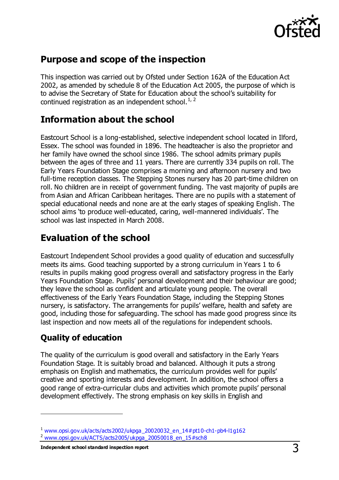

## **Purpose and scope of the inspection**

This inspection was carried out by Ofsted under Section 162A of the Education Act 2002, as amended by schedule 8 of the Education Act 2005, the purpose of which is to advise the Secretary of State for Education about the school's suitability for continued registration as an independent school.<sup>1, 2</sup>

## **Information about the school**

Eastcourt School is a long-established, selective independent school located in Ilford, Essex. The school was founded in 1896. The headteacher is also the proprietor and her family have owned the school since 1986. The school admits primary pupils between the ages of three and 11 years. There are currently 334 pupils on roll. The Early Years Foundation Stage comprises a morning and afternoon nursery and two full-time reception classes. The Stepping Stones nursery has 20 part-time children on roll. No children are in receipt of government funding. The vast majority of pupils are from Asian and African Caribbean heritages. There are no pupils with a statement of special educational needs and none are at the early stages of speaking English. The school aims 'to produce well-educated, caring, well-mannered individuals'. The school was last inspected in March 2008.

## **Evaluation of the school**

Eastcourt Independent School provides a good quality of education and successfully meets its aims. Good teaching supported by a strong curriculum in Years 1 to 6 results in pupils making good progress overall and satisfactory progress in the Early Years Foundation Stage. Pupils' personal development and their behaviour are good; they leave the school as confident and articulate young people. The overall effectiveness of the Early Years Foundation Stage, including the Stepping Stones nursery, is satisfactory. The arrangements for pupils' welfare, health and safety are good, including those for safeguarding. The school has made good progress since its last inspection and now meets all of the regulations for independent schools.

## **Quality of education**

 $\overline{a}$ 

The quality of the curriculum is good overall and satisfactory in the Early Years Foundation Stage. It is suitably broad and balanced. Although it puts a strong emphasis on English and mathematics, the curriculum provides well for pupils' creative and sporting interests and development. In addition, the school offers a good range of extra-curricular clubs and activities which promote pupils' personal development effectively. The strong emphasis on key skills in English and

 $1$  [www.opsi.gov.uk/acts/acts2002/ukpga\\_20020032\\_en\\_14#pt10-ch1-pb4-l1g162](https://www.opsi.gov.uk/acts/acts2002/ukpga_20020032_en_14%23pt10-ch1-pb4-l1g162)

<sup>2</sup> [www.opsi.gov.uk/ACTS/acts2005/ukpga\\_20050018\\_en\\_15#sch8](http://www.opsi.gov.uk/ACTS/acts2005/ukpga_20050018_en_15#sch8)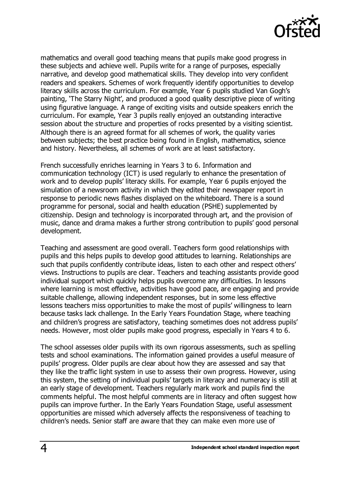

mathematics and overall good teaching means that pupils make good progress in these subjects and achieve well. Pupils write for a range of purposes, especially narrative, and develop good mathematical skills. They develop into very confident readers and speakers. Schemes of work frequently identify opportunities to develop literacy skills across the curriculum. For example, Year 6 pupils studied Van Gogh's painting, 'The Starry Night', and produced a good quality descriptive piece of writing using figurative language. A range of exciting visits and outside speakers enrich the curriculum. For example, Year 3 pupils really enjoyed an outstanding interactive session about the structure and properties of rocks presented by a visiting scientist. Although there is an agreed format for all schemes of work, the quality varies between subjects; the best practice being found in English, mathematics, science and history. Nevertheless, all schemes of work are at least satisfactory.

French successfully enriches learning in Years 3 to 6. Information and communication technology (ICT) is used regularly to enhance the presentation of work and to develop pupils' literacy skills. For example, Year 6 pupils enjoyed the simulation of a newsroom activity in which they edited their newspaper report in response to periodic news flashes displayed on the whiteboard. There is a sound programme for personal, social and health education (PSHE) supplemented by citizenship. Design and technology is incorporated through art, and the provision of music, dance and drama makes a further strong contribution to pupils' good personal development.

Teaching and assessment are good overall. Teachers form good relationships with pupils and this helps pupils to develop good attitudes to learning. Relationships are such that pupils confidently contribute ideas, listen to each other and respect others' views. Instructions to pupils are clear. Teachers and teaching assistants provide good individual support which quickly helps pupils overcome any difficulties. In lessons where learning is most effective, activities have good pace, are engaging and provide suitable challenge, allowing independent responses, but in some less effective lessons teachers miss opportunities to make the most of pupils' willingness to learn because tasks lack challenge. In the Early Years Foundation Stage, where teaching and children's progress are satisfactory, teaching sometimes does not address pupils' needs. However, most older pupils make good progress, especially in Years 4 to 6.

The school assesses older pupils with its own rigorous assessments, such as spelling tests and school examinations. The information gained provides a useful measure of pupils' progress. Older pupils are clear about how they are assessed and say that they like the traffic light system in use to assess their own progress. However, using this system, the setting of individual pupils' targets in literacy and numeracy is still at an early stage of development. Teachers regularly mark work and pupils find the comments helpful. The most helpful comments are in literacy and often suggest how pupils can improve further. In the Early Years Foundation Stage, useful assessment opportunities are missed which adversely affects the responsiveness of teaching to children's needs. Senior staff are aware that they can make even more use of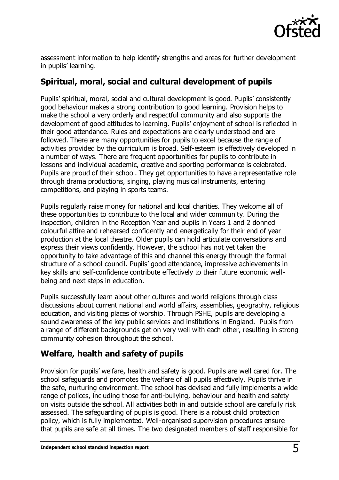

assessment information to help identify strengths and areas for further development in pupils' learning.

#### **Spiritual, moral, social and cultural development of pupils**

Pupils' spiritual, moral, social and cultural development is good. Pupils' consistently good behaviour makes a strong contribution to good learning. Provision helps to make the school a very orderly and respectful community and also supports the development of good attitudes to learning. Pupils' enjoyment of school is reflected in their good attendance. Rules and expectations are clearly understood and are followed. There are many opportunities for pupils to excel because the range of activities provided by the curriculum is broad. Self-esteem is effectively developed in a number of ways. There are frequent opportunities for pupils to contribute in lessons and individual academic, creative and sporting performance is celebrated. Pupils are proud of their school. They get opportunities to have a representative role through drama productions, singing, playing musical instruments, entering competitions, and playing in sports teams.

Pupils regularly raise money for national and local charities. They welcome all of these opportunities to contribute to the local and wider community. During the inspection, children in the Reception Year and pupils in Years 1 and 2 donned colourful attire and rehearsed confidently and energetically for their end of year production at the local theatre. Older pupils can hold articulate conversations and express their views confidently. However, the school has not yet taken the opportunity to take advantage of this and channel this energy through the formal structure of a school council. Pupils' good attendance, impressive achievements in key skills and self-confidence contribute effectively to their future economic wellbeing and next steps in education.

Pupils successfully learn about other cultures and world religions through class discussions about current national and world affairs, assemblies, geography, religious education, and visiting places of worship. Through PSHE, pupils are developing a sound awareness of the key public services and institutions in England. Pupils from a range of different backgrounds get on very well with each other, resulting in strong community cohesion throughout the school.

## **Welfare, health and safety of pupils**

Provision for pupils' welfare, health and safety is good. Pupils are well cared for. The school safeguards and promotes the welfare of all pupils effectively. Pupils thrive in the safe, nurturing environment. The school has devised and fully implements a wide range of polices, including those for anti-bullying, behaviour and health and safety on visits outside the school. All activities both in and outside school are carefully risk assessed. The safeguarding of pupils is good. There is a robust child protection policy, which is fully implemented. Well-organised supervision procedures ensure that pupils are safe at all times. The two designated members of staff responsible for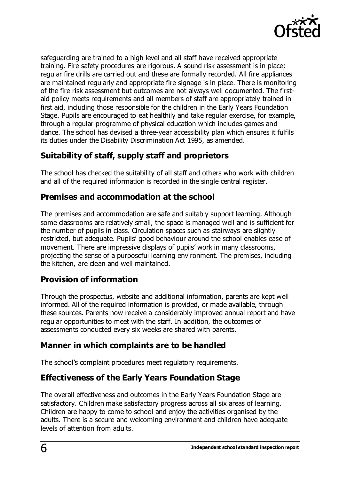

safeguarding are trained to a high level and all staff have received appropriate training. Fire safety procedures are rigorous. A sound risk assessment is in place; regular fire drills are carried out and these are formally recorded. All fire appliances are maintained regularly and appropriate fire signage is in place. There is monitoring of the fire risk assessment but outcomes are not always well documented. The firstaid policy meets requirements and all members of staff are appropriately trained in first aid, including those responsible for the children in the Early Years Foundation Stage. Pupils are encouraged to eat healthily and take regular exercise, for example, through a regular programme of physical education which includes games and dance. The school has devised a three-year accessibility plan which ensures it fulfils its duties under the Disability Discrimination Act 1995, as amended.

## **Suitability of staff, supply staff and proprietors**

The school has checked the suitability of all staff and others who work with children and all of the required information is recorded in the single central register.

#### **Premises and accommodation at the school**

The premises and accommodation are safe and suitably support learning. Although some classrooms are relatively small, the space is managed well and is sufficient for the number of pupils in class. Circulation spaces such as stairways are slightly restricted, but adequate. Pupils' good behaviour around the school enables ease of movement. There are impressive displays of pupils' work in many classrooms, projecting the sense of a purposeful learning environment. The premises, including the kitchen, are clean and well maintained.

## **Provision of information**

Through the prospectus, website and additional information, parents are kept well informed. All of the required information is provided, or made available, through these sources. Parents now receive a considerably improved annual report and have regular opportunities to meet with the staff. In addition, the outcomes of assessments conducted every six weeks are shared with parents.

#### **Manner in which complaints are to be handled**

The school's complaint procedures meet regulatory requirements.

## **Effectiveness of the Early Years Foundation Stage**

The overall effectiveness and outcomes in the Early Years Foundation Stage are satisfactory. Children make satisfactory progress across all six areas of learning. Children are happy to come to school and enjoy the activities organised by the adults. There is a secure and welcoming environment and children have adequate levels of attention from adults.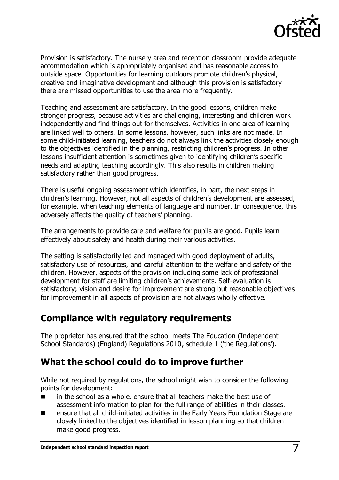

Provision is satisfactory. The nursery area and reception classroom provide adequate accommodation which is appropriately organised and has reasonable access to outside space. Opportunities for learning outdoors promote children's physical, creative and imaginative development and although this provision is satisfactory there are missed opportunities to use the area more frequently.

Teaching and assessment are satisfactory. In the good lessons, children make stronger progress, because activities are challenging, interesting and children work independently and find things out for themselves. Activities in one area of learning are linked well to others. In some lessons, however, such links are not made. In some child-initiated learning, teachers do not always link the activities closely enough to the objectives identified in the planning, restricting children's progress. In other lessons insufficient attention is sometimes given to identifying children's specific needs and adapting teaching accordingly. This also results in children making satisfactory rather than good progress.

There is useful ongoing assessment which identifies, in part, the next steps in children's learning. However, not all aspects of children's development are assessed, for example, when teaching elements of language and number. In consequence, this adversely affects the quality of teachers' planning.

The arrangements to provide care and welfare for pupils are good. Pupils learn effectively about safety and health during their various activities.

The setting is satisfactorily led and managed with good deployment of adults, satisfactory use of resources, and careful attention to the welfare and safety of the children. However, aspects of the provision including some lack of professional development for staff are limiting children's achievements. Self-evaluation is satisfactory; vision and desire for improvement are strong but reasonable objectives for improvement in all aspects of provision are not always wholly effective.

## **Compliance with regulatory requirements**

The proprietor has ensured that the school meets The Education (Independent School Standards) (England) Regulations 2010, schedule 1 ('the Regulations').

## **What the school could do to improve further**

While not required by regulations, the school might wish to consider the following points for development:

- in the school as a whole, ensure that all teachers make the best use of assessment information to plan for the full range of abilities in their classes.
- ensure that all child-initiated activities in the Early Years Foundation Stage are closely linked to the objectives identified in lesson planning so that children make good progress.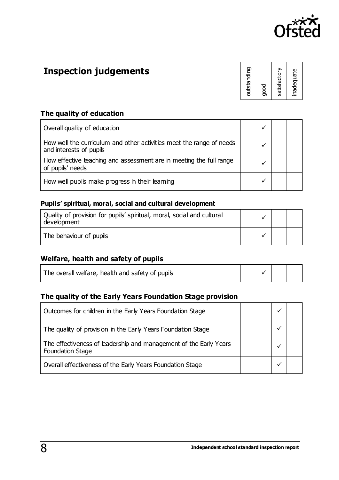

# **Inspection judgements**

| outstanding          |
|----------------------|
| satisfactory<br>good |
| inadequate           |

#### **The quality of education**

| Overall quality of education                                                                    |  |  |
|-------------------------------------------------------------------------------------------------|--|--|
| How well the curriculum and other activities meet the range of needs<br>and interests of pupils |  |  |
| How effective teaching and assessment are in meeting the full range<br>of pupils' needs         |  |  |
| How well pupils make progress in their learning                                                 |  |  |

#### **Pupils' spiritual, moral, social and cultural development**

| Quality of provision for pupils' spiritual, moral, social and cultural<br>development |  |  |
|---------------------------------------------------------------------------------------|--|--|
| The behaviour of pupils                                                               |  |  |

#### **Welfare, health and safety of pupils**

| The overall welfare, health and safety of pupils |  |  |  |  |
|--------------------------------------------------|--|--|--|--|
|--------------------------------------------------|--|--|--|--|

#### **The quality of the Early Years Foundation Stage provision**

| Outcomes for children in the Early Years Foundation Stage                             |  | ✔ |  |
|---------------------------------------------------------------------------------------|--|---|--|
| The quality of provision in the Early Years Foundation Stage                          |  |   |  |
| The effectiveness of leadership and management of the Early Years<br>Foundation Stage |  |   |  |
| Overall effectiveness of the Early Years Foundation Stage                             |  |   |  |